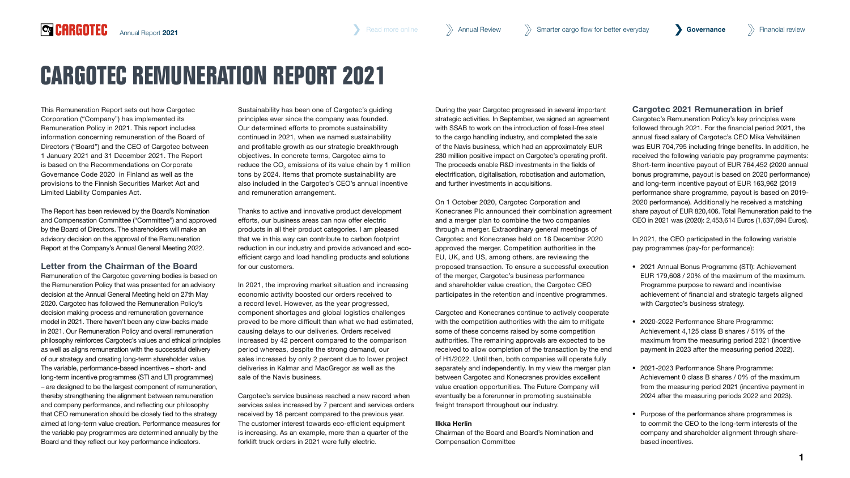# **CARGOTEC REMUNERATION REPORT 2021**

This Remuneration Report sets out how Cargotec Corporation ("Company") has implemented its Remuneration Policy in 2021. This report includes information concerning remuneration of the Board of Directors ("Board") and the CEO of Cargotec between 1 January 2021 and 31 December 2021. The Report is based on the Recommendations on Corporate Governance Code 2020 in Finland as well as the provisions to the Finnish Securities Market Act and Limited Liability Companies Act.

**QCARGOTEC** 

The Report has been reviewed by the Board's Nomination and Compensation Committee ("Committee") and approved by the Board of Directors. The shareholders will make an advisory decision on the approval of the Remuneration Report at the Company's Annual General Meeting 2022.

Letter from the Chairman of the Board Remuneration of the Cargotec governing bodies is based on the Remuneration Policy that was presented for an advisory decision at the Annual General Meeting held on 27th May 2020. Cargotec has followed the Remuneration Policy's decision making process and remuneration governance model in 2021. There haven't been any claw-backs made in 2021. Our Remuneration Policy and overall remuneration philosophy reinforces Cargotec's values and ethical principles as well as aligns remuneration with the successful delivery of our strategy and creating long-term shareholder value. The variable, performance-based incentives – short- and long-term incentive programmes (STI and LTI programmes) – are designed to be the largest component of remuneration, thereby strengthening the alignment between remuneration and company performance, and reflecting our philosophy that CEO remuneration should be closely tied to the strategy aimed at long-term value creation. Performance measures for the variable pay programmes are determined annually by the Board and they reflect our key performance indicators.

Sustainability has been one of Cargotec's quiding principles ever since the company was founded. Our determined efforts to promote sustainability continued in 2021, when we named sustainability and profitable growth as our strategic breakthrough objectives. In concrete terms, Cargotec aims to reduce the CO $_2$  emissions of its value chain by 1 million tons by 2024. Items that promote sustainability are also included in the Cargotec's CEO's annual incentive and remuneration arrangement.

Thanks to active and innovative product development efforts, our business areas can now offer electric products in all their product categories. I am pleased that we in this way can contribute to carbon footprint reduction in our industry and provide advanced and ecoefficient cargo and load handling products and solutions for our customers.

In 2021, the improving market situation and increasing economic activity boosted our orders received to a record level. However, as the year progressed, component shortages and global logistics challenges proved to be more difficult than what we had estimated, causing delays to our deliveries. Orders received increased by 42 percent compared to the comparison period whereas, despite the strong demand, our sales increased by only 2 percent due to lower project deliveries in Kalmar and MacGregor as well as the sale of the Navis business.

Cargotec's service business reached a new record when services sales increased by 7 percent and services orders received by 18 percent compared to the previous year. The customer interest towards eco-efficient equipment is increasing. As an example, more than a quarter of the forklift truck orders in 2021 were fully electric.

During the year Cargotec progressed in several important strategic activities. In September, we signed an agreement with SSAB to work on the introduction of fossil-free steel to the cargo handling industry, and completed the sale of the Navis business, which had an approximately EUR 230 million positive impact on Cargotec's operating profit. The proceeds enable R&D investments in the fields of electrification, digitalisation, robotisation and automation, and further investments in acquisitions.

On 1 October 2020, Cargotec Corporation and Konecranes Plc announced their combination agreement and a merger plan to combine the two companies through a merger. Extraordinary general meetings of Cargotec and Konecranes held on 18 December 2020 approved the merger. Competition authorities in the EU, UK, and US, among others, are reviewing the proposed transaction. To ensure a successful execution of the merger, Cargotec's business performance and shareholder value creation, the Cargotec CEO participates in the retention and incentive programmes.

Cargotec and Konecranes continue to actively cooperate with the competition authorities with the aim to mitigate some of these concerns raised by some competition authorities. The remaining approvals are expected to be received to allow completion of the transaction by the end of H1/2022. Until then, both companies will operate fully separately and independently. In my view the merger plan between Cargotec and Konecranes provides excellent value creation opportunities. The Future Company will eventually be a forerunner in promoting sustainable freight transport throughout our industry.

#### Ilkka Herlin

Chairman of the Board and Board's Nomination and Compensation Committee

#### Cargotec 2021 Remuneration in brief

Cargotec's Remuneration Policy's key principles were followed through 2021. For the financial period 2021, the annual fixed salary of Cargotec's CEO Mika Vehviläinen was EUR 704,795 including fringe benefits. In addition, he received the following variable pay programme payments: Short-term incentive payout of EUR 764,452 (2020 annual bonus programme, payout is based on 2020 performance) and long-term incentive payout of EUR 163,962 (2019 performance share programme, payout is based on 2019- 2020 performance). Additionally he received a matching share payout of EUR 820,406. Total Remuneration paid to the CEO in 2021 was (2020): 2,453,614 Euros (1,637,694 Euros).

In 2021, the CEO participated in the following variable pay programmes (pay-for performance):

- 2021 Annual Bonus Programme (STI): Achievement EUR 179,608 / 20% of the maximum of the maximum. Programme purpose to reward and incentivise achievement of financial and strategic targets aligned with Cargotec's business strategy.
- 2020-2022 Performance Share Programme: Achievement 4,125 class B shares / 51% of the maximum from the measuring period 2021 (incentive payment in 2023 after the measuring period 2022).
- 2021-2023 Performance Share Programme: Achievement 0 class B shares / 0% of the maximum from the measuring period 2021 (incentive payment in 2024 after the measuring periods 2022 and 2023).
- Purpose of the performance share programmes is to commit the CEO to the long-term interests of the company and shareholder alignment through sharebased incentives.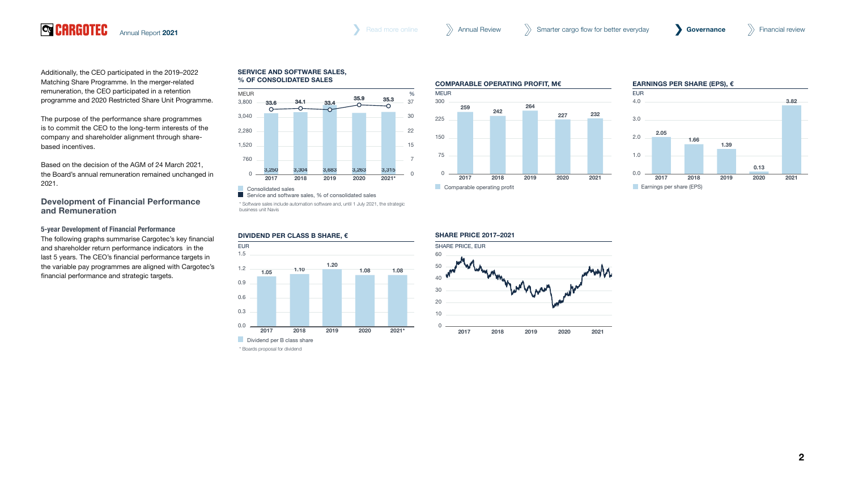Additionally, the CEO participated in the 2019–2022 Matching Share Programme. In the merger-related remuneration, the CEO participated in a retention programme and 2020 Restricted Share Unit Programme.

The purpose of the performance share programmes is to commit the CEO to the long-term interests of the company and shareholder alignment through sharebased incentives.

Based on the decision of the AGM of 24 March 2021, the Board's annual remuneration remained unchanged in 2021.

Development of Financial Performance and Remuneration

5-year Development of Financial Performance

The following graphs summarise Cargotec's key financial and shareholder return performance indicators in the last 5 years. The CEO's financial performance targets in the variable pay programmes are aligned with Cargotec's financial performance and strategic targets.

#### **SERVICE AND SOFTWARE SALES, % OF CONSOLIDATED SALES**



Service and software sales, % of consolidated sales

\* Software sales include automation software and, until 1 July 2021, the strategic business unit Navis

#### Consolidated sales 3,250 3,304 3,683 3,263 3,315 **DIVIDEND PER CLASS B SHARE, €**



\* Boards proposal for dividend





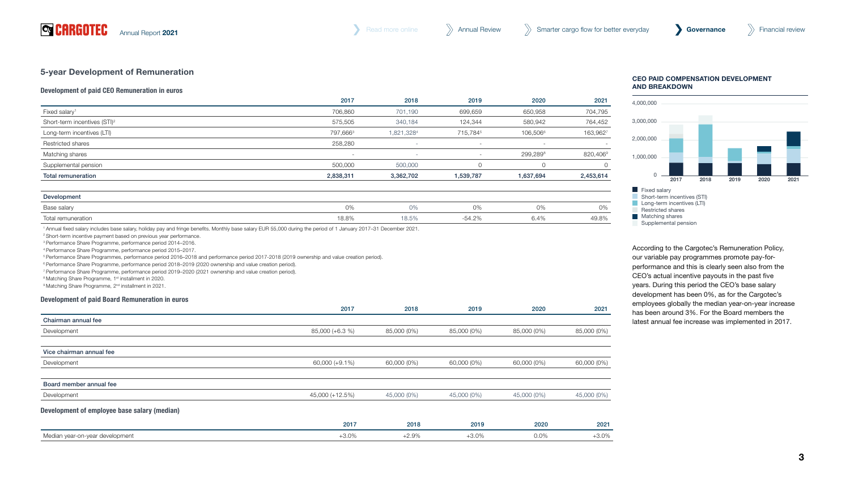# 5-year Development of Remuneration

# Development of paid CEO Remuneration in euros

|                                          | 2017                     | 2018       | 2019                     | 2020                     | 2021      |
|------------------------------------------|--------------------------|------------|--------------------------|--------------------------|-----------|
| Fixed salary <sup>1</sup>                | 706,860                  | 701,190    | 699,659                  | 650,958                  | 704,795   |
| Short-term incentives (STI) <sup>2</sup> | 575,505                  | 340,184    | 124,344                  | 580,942                  | 764,452   |
| Long-term incentives (LTI)               | 797,666 <sup>3</sup>     | 1,821,3284 | 715,7845                 | 106,5066                 | 163,962   |
| Restricted shares                        | 258,280                  |            | $\overline{\phantom{a}}$ | $\overline{\phantom{a}}$ |           |
| Matching shares                          | $\overline{\phantom{a}}$ | $\sim$     | $\sim$                   | 299,2898                 | 820,406   |
| Supplemental pension                     | 500,000                  | 500,000    |                          |                          |           |
| Total remuneration                       | 2,838,311                | 3,362,702  | 1,539,787                | 1,637,694                | 2,453,614 |
|                                          |                          |            |                          |                          |           |

| Developmen         |       |                        |       |         |       |
|--------------------|-------|------------------------|-------|---------|-------|
| Base salary        | 0%    | $\sim$ $\sim$<br>U%    | U%    | $U$ / C | 0%    |
| Total remuneration | 18.8% | $\sim$ $ \sim$<br>10.U | 54.2% | $6.4\%$ | 49.8% |

1 Annual fixed salary includes base salary, holiday pay and fringe benefits. Monthly base salary EUR 55,000 during the period of 1 January 2017–31 December 2021.

2 Short-term incentive payment based on previous year performance.

3 Performance Share Programme, performance period 2014–2016.

4 Performance Share Programme, performance period 2015–2017.

5 Performance Share Programmes, performance period 2016–2018 and performance period 2017-2018 (2019 ownership and value creation period).

6 Performance Share Programme, performance period 2018–2019 (2020 ownership and value creation period).

7 Performance Share Programme, performance period 2019–2020 (2021 ownership and value creation period).

<sup>8</sup> Matching Share Programme, 1<sup>st</sup> installment in 2020.

<sup>9</sup> Matching Share Programme, 2<sup>nd</sup> installment in 2021.

#### Development of paid Board Remuneration in euros

|                                              | 2017            | 2018        | 2019        | 2020        | 2021        |
|----------------------------------------------|-----------------|-------------|-------------|-------------|-------------|
| Chairman annual fee                          |                 |             |             |             |             |
| Development                                  | 85,000 (+6.3 %) | 85,000 (0%) | 85,000 (0%) | 85,000 (0%) | 85,000 (0%) |
| Vice chairman annual fee                     |                 |             |             |             |             |
| Development                                  | 60,000 (+9.1%)  | 60,000 (0%) | 60,000 (0%) | 60,000 (0%) | 60,000 (0%) |
| Board member annual fee                      |                 |             |             |             |             |
| Development                                  | 45,000 (+12.5%) | 45,000 (0%) | 45,000 (0%) | 45,000 (0%) | 45,000 (0%) |
| Development of employee base salary (median) |                 |             |             |             |             |
|                                              | 2017            | 2018        | 2019        | 2020        | 2021        |
| Median year-on-year development              | $+3.0\%$        | $+2.9%$     | $+3.0%$     | $0.0\%$     | $+3.0%$     |

#### **CEO PAID COMPENSATION DEVELOPMENT AND BREAKDOWN**



According to the Cargotec's Remuneration Policy, recording to the bargeted of formalistication is endy,<br>our variable pay programmes promote pay-forperformance and this is clearly seen also from the CEO's actual incentive payouts in the past five years. During this period the CEO's base salary development has been 0%, as for the Cargotec's employees globally the median year-on-year increase has been around 3%. For the Board members the latest annual fee increase was implemented in 2017. Sur vanable pay programmes promote pay-ion-31% 34% 34% 33%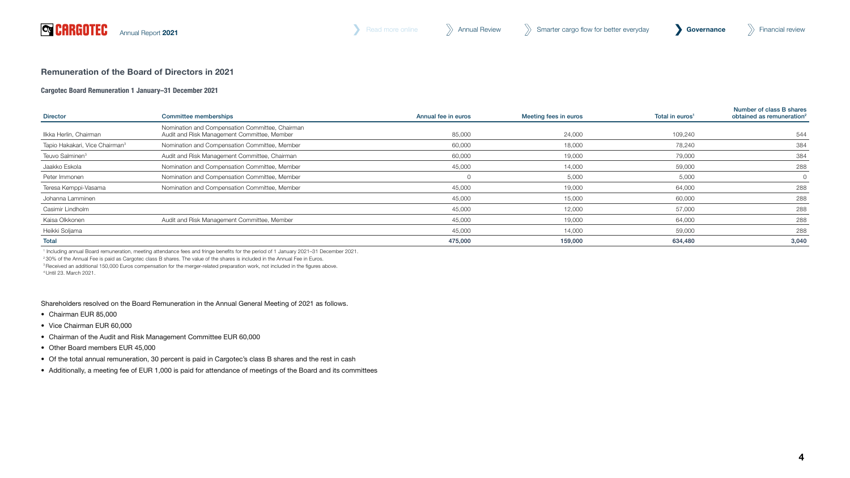

# Remuneration of the Board of Directors in 2021

# Cargotec Board Remuneration 1 January–31 December 2021

| <b>Director</b>                            | <b>Committee memberships</b>                                                                   | Annual fee in euros | Meeting fees in euros | Total in euros <sup>1</sup> | Number of class B shares<br>obtained as remuneration <sup>2</sup> |
|--------------------------------------------|------------------------------------------------------------------------------------------------|---------------------|-----------------------|-----------------------------|-------------------------------------------------------------------|
| llkka Herlin, Chairman                     | Nomination and Compensation Committee, Chairman<br>Audit and Risk Management Committee, Member | 85,000              | 24.000                | 109,240                     | 544                                                               |
| Tapio Hakakari, Vice Chairman <sup>3</sup> | Nomination and Compensation Committee, Member                                                  | 60,000              | 18,000                | 78,240                      | 384                                                               |
| Teuvo Salminen <sup>3</sup>                | Audit and Risk Management Committee, Chairman                                                  | 60,000              | 19,000                | 79,000                      | 384                                                               |
| Jaakko Eskola                              | Nomination and Compensation Committee, Member                                                  | 45,000              | 14,000                | 59,000                      | 288                                                               |
| Peter Immonen                              | Nomination and Compensation Committee, Member                                                  |                     | 5,000                 | 5,000                       | $\circ$                                                           |
| Teresa Kemppi-Vasama                       | Nomination and Compensation Committee, Member                                                  | 45,000              | 19,000                | 64,000                      | 288                                                               |
| Johanna Lamminen                           |                                                                                                | 45,000              | 15,000                | 60,000                      | 288                                                               |
| Casimir Lindholm                           |                                                                                                | 45,000              | 12,000                | 57,000                      | 288                                                               |
| Kaisa Olkkonen                             | Audit and Risk Management Committee, Member                                                    | 45,000              | 19,000                | 64,000                      | 288                                                               |
| Heikki Soljama                             |                                                                                                | 45,000              | 14,000                | 59,000                      | 288                                                               |
| Total                                      |                                                                                                | 475,000             | 159,000               | 634,480                     | 3,040                                                             |

1 Including annual Board remuneration, meeting attendance fees and fringe benefits for the period of 1 January 2021–31 December 2021.

2 30% of the Annual Fee is paid as Cargotec class B shares. The value of the shares is included in the Annual Fee in Euros.

<sup>3</sup> Received an additional 150,000 Euros compensation for the merger-related preparation work, not included in the figures above.

4 Until 23. March 2021.

Shareholders resolved on the Board Remuneration in the Annual General Meeting of 2021 as follows.

- Chairman EUR 85,000
- Vice Chairman EUR 60,000
- Chairman of the Audit and Risk Management Committee EUR 60,000
- Other Board members EUR 45,000
- Of the total annual remuneration, 30 percent is paid in Cargotec's class B shares and the rest in cash
- Additionally, a meeting fee of EUR 1,000 is paid for attendance of meetings of the Board and its committees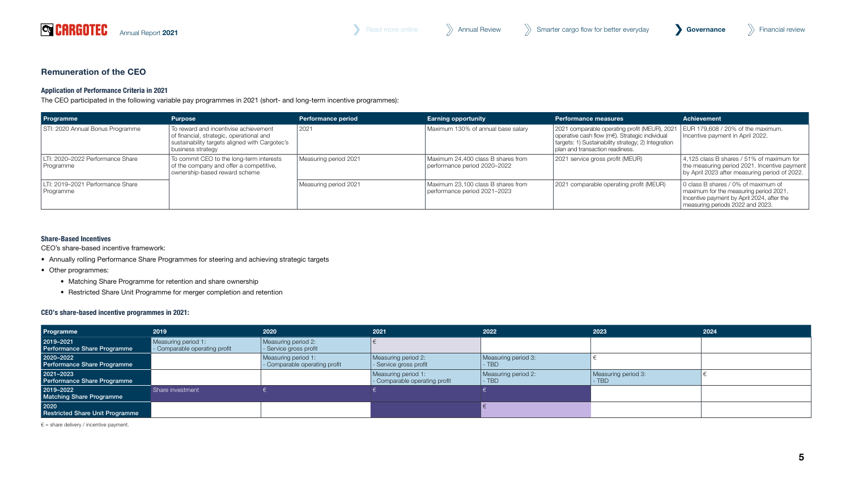

# Remuneration of the CEO

# Application of Performance Criteria in 2021

The CEO participated in the following variable pay programmes in 2021 (short- and long-term incentive programmes):

| Programme                                     | <b>Purpose</b>                                                                                                                                           | <b>Performance period</b> | <b>Earning opportunity</b>                                         | <b>Performance measures</b>                                                                                                                                                               | <b>Achievement</b>                                                                                                                                              |
|-----------------------------------------------|----------------------------------------------------------------------------------------------------------------------------------------------------------|---------------------------|--------------------------------------------------------------------|-------------------------------------------------------------------------------------------------------------------------------------------------------------------------------------------|-----------------------------------------------------------------------------------------------------------------------------------------------------------------|
| STI: 2020 Annual Bonus Programme              | To reward and incentivise achievement<br>of financial, strategic, operational and<br>sustainability targets aligned with Cargotec's<br>business strategy | 2021                      | Maximum 130% of annual base salary                                 | 2021 comparable operating profit (MEUR), 2021<br>operative cash flow (m€). Strategic individual<br>targets: 1) Sustainability strategy; 2) Integration<br>plan and transaction readiness. | EUR 179,608 / 20% of the maximum.<br>Incentive payment in April 2022.                                                                                           |
| LTI: 2020–2022 Performance Share<br>Programme | To commit CEO to the long-term interests<br>of the company and offer a competitive,<br>ownership-based reward scheme                                     | Measuring period 2021     | Maximum 24,400 class B shares from<br>performance period 2020-2022 | 2021 service gross profit (MEUR)                                                                                                                                                          | 4.125 class B shares / 51% of maximum for<br>the measuring period 2021. Incentive payment<br>by April 2023 after measuring period of 2022.                      |
| LTI: 2019–2021 Performance Share<br>Programme |                                                                                                                                                          | Measuring period 2021     | Maximum 23.100 class B shares from<br>performance period 2021-2023 | 2021 comparable operating profit (MEUR)                                                                                                                                                   | 0 class B shares / 0% of maximum of<br>maximum for the measuring period 2021.<br>Incentive payment by April 2024, after the<br>measuring periods 2022 and 2023. |

# Share-Based Incentives

CEO's share-based incentive framework:

- Annually rolling Performance Share Programmes for steering and achieving strategic targets
- Other programmes:
	- Matching Share Programme for retention and share ownership
	- Restricted Share Unit Programme for merger completion and retention

# CEO's share-based incentive programmes in 2021:

| Programme                                      | 2019                                                 | 2020                                                 | 2021                                               | 2022                           | 2023                         | 2024 |
|------------------------------------------------|------------------------------------------------------|------------------------------------------------------|----------------------------------------------------|--------------------------------|------------------------------|------|
| 2019-2021<br>Performance Share Programme       | Measuring period 1:<br>- Comparable operating profit | Measuring period 2:<br>- Service gross profit        |                                                    |                                |                              |      |
| 2020-2022<br>Performance Share Programme       |                                                      | Measuring period 1:<br>- Comparable operating profit | Measuring period 2:<br>- Service gross profit      | Measuring period 3:<br>$-$ TBD |                              |      |
| 2021-2023<br>Performance Share Programme       |                                                      |                                                      | Measuring period 1:<br>Comparable operating profit | Measuring period 2:<br>$-$ TBD | Measuring period 3:<br>- TBD |      |
| 2019-2022<br><b>Matching Share Programme</b>   | Share investment                                     |                                                      |                                                    |                                |                              |      |
| 2020<br><b>Restricted Share Unit Programme</b> |                                                      |                                                      |                                                    |                                |                              |      |

 $\epsilon$  = share delivery / incentive payment.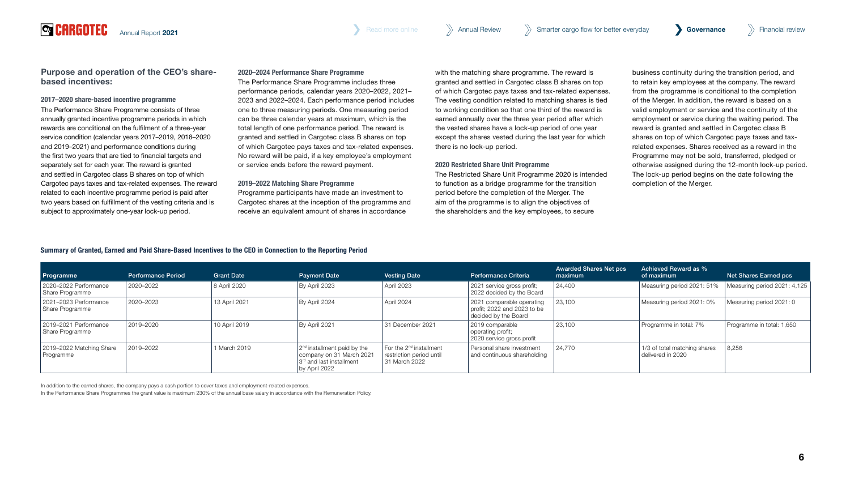[Annual Report](#page--1-0) 2021 **Governance** [Annual Review](#page--1-0) Annual Review Annual Review Smarter cargo flow for better everyday **Governance** >>>> Financial review

Purpose and operation of the CEO's sharebased incentives:

# 2017–2020 share-based incentive programme

**Q** CARGOTEC

The Performance Share Programme consists of three annually granted incentive programme periods in which rewards are conditional on the fulfilment of a three-year service condition (calendar years 2017–2019, 2018–2020 and 2019–2021) and performance conditions during the first two years that are tied to financial targets and separately set for each year. The reward is granted and settled in Cargotec class B shares on top of which Cargotec pays taxes and tax-related expenses. The reward related to each incentive programme period is paid after two years based on fulfillment of the vesting criteria and is subject to approximately one-year lock-up period.

# 2020–2024 Performance Share Programme

The Performance Share Programme includes three performance periods, calendar years 2020–2022, 2021– 2023 and 2022–2024. Each performance period includes one to three measuring periods. One measuring period can be three calendar years at maximum, which is the total length of one performance period. The reward is granted and settled in Cargotec class B shares on top of which Cargotec pays taxes and tax-related expenses. No reward will be paid, if a key employee's employment or service ends before the reward payment.

#### 2019–2022 Matching Share Programme

Programme participants have made an investment to Cargotec shares at the inception of the programme and receive an equivalent amount of shares in accordance

with the matching share programme. The reward is granted and settled in Cargotec class B shares on top of which Cargotec pays taxes and tax-related expenses. The vesting condition related to matching shares is tied to working condition so that one third of the reward is earned annually over the three year period after which the vested shares have a lock-up period of one year except the shares vested during the last year for which there is no lock-up period.

#### 2020 Restricted Share Unit Programme

The Restricted Share Unit Programme 2020 is intended to function as a bridge programme for the transition period before the completion of the Merger. The aim of the programme is to align the objectives of the shareholders and the key employees, to secure

business continuity during the transition period, and to retain key employees at the company. The reward from the programme is conditional to the completion of the Merger. In addition, the reward is based on a valid employment or service and the continuity of the employment or service during the waiting period. The reward is granted and settled in Cargotec class B shares on top of which Cargotec pays taxes and taxrelated expenses. Shares received as a reward in the Programme may not be sold, transferred, pledged or otherwise assigned during the 12-month lock-up period. The lock-up period begins on the date following the completion of the Merger.

# Summary of Granted, Earned and Paid Share-Based Incentives to the CEO in Connection to the Reporting Period

| <b>Programme</b>                         | <b>Performance Period</b> | <b>Grant Date</b> | <b>Payment Date</b>                                                                                                | <b>Vesting Date</b>                                                              | Performance Criteria                                                             | <b>Awarded Shares Net pcs</b><br>maximum | Achieved Reward as %<br>of maximum                | Net Shares Earned pcs        |
|------------------------------------------|---------------------------|-------------------|--------------------------------------------------------------------------------------------------------------------|----------------------------------------------------------------------------------|----------------------------------------------------------------------------------|------------------------------------------|---------------------------------------------------|------------------------------|
| 2020-2022 Performance<br>Share Programme | 2020-2022                 | 8 April 2020      | By April 2023                                                                                                      | April 2023                                                                       | 2021 service gross profit;<br>2022 decided by the Board                          | 24,400                                   | Measuring period 2021: 51%                        | Measuring period 2021: 4,125 |
| 2021-2023 Performance<br>Share Programme | 2020-2023                 | 13 April 2021     | By April 2024                                                                                                      | April 2024                                                                       | 2021 comparable operating<br>profit; 2022 and 2023 to be<br>decided by the Board | 23,100                                   | Measuring period 2021: 0%                         | Measuring period 2021: 0     |
| 2019-2021 Performance<br>Share Programme | 2019-2020                 | 10 April 2019     | By April 2021                                                                                                      | 31 December 2021                                                                 | 2019 comparable<br>operating profit;<br>2020 service gross profit                | 23,100                                   | Programme in total: 7%                            | Programme in total: 1,650    |
| 2019-2022 Matching Share<br>Programme    | 2019-2022                 | 1 March 2019      | 2 <sup>nd</sup> installment paid by the<br>company on 31 March 2021<br>l 3rd and last installment<br>by April 2022 | For the 2 <sup>nd</sup> installment<br>restriction period until<br>31 March 2022 | Personal share investment<br>and continuous shareholding                         | 24,770                                   | 1/3 of total matching shares<br>delivered in 2020 | 8,256                        |

In addition to the earned shares, the company pays a cash portion to cover taxes and employment-related expenses.

In the Performance Share Programmes the grant value is maximum 230% of the annual base salary in accordance with the Remuneration Policy.